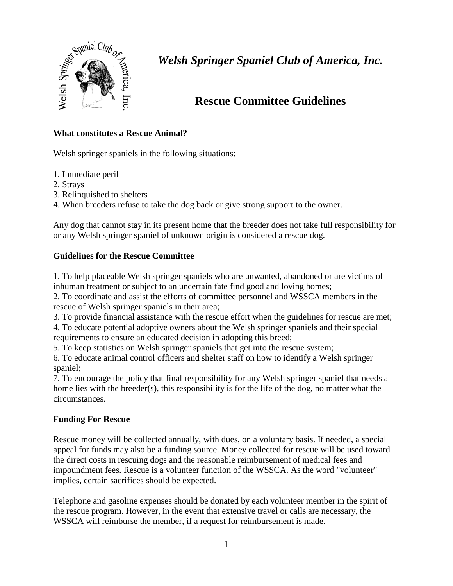

## **Rescue Committee Guidelines**

### **What constitutes a Rescue Animal?**

Welsh springer spaniels in the following situations:

- 1. Immediate peril
- 2. Strays
- 3. Relinquished to shelters
- 4. When breeders refuse to take the dog back or give strong support to the owner.

Any dog that cannot stay in its present home that the breeder does not take full responsibility for or any Welsh springer spaniel of unknown origin is considered a rescue dog.

### **Guidelines for the Rescue Committee**

1. To help placeable Welsh springer spaniels who are unwanted, abandoned or are victims of inhuman treatment or subject to an uncertain fate find good and loving homes;

2. To coordinate and assist the efforts of committee personnel and WSSCA members in the rescue of Welsh springer spaniels in their area;

3. To provide financial assistance with the rescue effort when the guidelines for rescue are met;

4. To educate potential adoptive owners about the Welsh springer spaniels and their special requirements to ensure an educated decision in adopting this breed;

5. To keep statistics on Welsh springer spaniels that get into the rescue system;

6. To educate animal control officers and shelter staff on how to identify a Welsh springer spaniel;

7. To encourage the policy that final responsibility for any Welsh springer spaniel that needs a home lies with the breeder(s), this responsibility is for the life of the dog, no matter what the circumstances.

## **Funding For Rescue**

Rescue money will be collected annually, with dues, on a voluntary basis. If needed, a special appeal for funds may also be a funding source. Money collected for rescue will be used toward the direct costs in rescuing dogs and the reasonable reimbursement of medical fees and impoundment fees. Rescue is a volunteer function of the WSSCA. As the word "volunteer" implies, certain sacrifices should be expected.

Telephone and gasoline expenses should be donated by each volunteer member in the spirit of the rescue program. However, in the event that extensive travel or calls are necessary, the WSSCA will reimburse the member, if a request for reimbursement is made.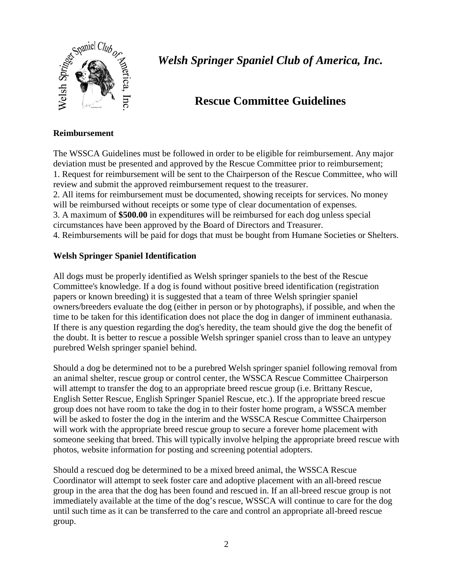

## **Rescue Committee Guidelines**

#### **Reimbursement**

The WSSCA Guidelines must be followed in order to be eligible for reimbursement. Any major deviation must be presented and approved by the Rescue Committee prior to reimbursement; 1. Request for reimbursement will be sent to the Chairperson of the Rescue Committee, who will review and submit the approved reimbursement request to the treasurer. 2. All items for reimbursement must be documented, showing receipts for services. No money will be reimbursed without receipts or some type of clear documentation of expenses. 3. A maximum of **\$500.00** in expenditures will be reimbursed for each dog unless special

circumstances have been approved by the Board of Directors and Treasurer.

4. Reimbursements will be paid for dogs that must be bought from Humane Societies or Shelters.

#### **Welsh Springer Spaniel Identification**

All dogs must be properly identified as Welsh springer spaniels to the best of the Rescue Committee's knowledge. If a dog is found without positive breed identification (registration papers or known breeding) it is suggested that a team of three Welsh springier spaniel owners/breeders evaluate the dog (either in person or by photographs), if possible, and when the time to be taken for this identification does not place the dog in danger of imminent euthanasia. If there is any question regarding the dog's heredity, the team should give the dog the benefit of the doubt. It is better to rescue a possible Welsh springer spaniel cross than to leave an untypey purebred Welsh springer spaniel behind.

Should a dog be determined not to be a purebred Welsh springer spaniel following removal from an animal shelter, rescue group or control center, the WSSCA Rescue Committee Chairperson will attempt to transfer the dog to an appropriate breed rescue group (i.e. Brittany Rescue, English Setter Rescue, English Springer Spaniel Rescue, etc.). If the appropriate breed rescue group does not have room to take the dog in to their foster home program, a WSSCA member will be asked to foster the dog in the interim and the WSSCA Rescue Committee Chairperson will work with the appropriate breed rescue group to secure a forever home placement with someone seeking that breed. This will typically involve helping the appropriate breed rescue with photos, website information for posting and screening potential adopters.

Should a rescued dog be determined to be a mixed breed animal, the WSSCA Rescue Coordinator will attempt to seek foster care and adoptive placement with an all-breed rescue group in the area that the dog has been found and rescued in. If an all-breed rescue group is not immediately available at the time of the dog's rescue, WSSCA will continue to care for the dog until such time as it can be transferred to the care and control an appropriate all-breed rescue group.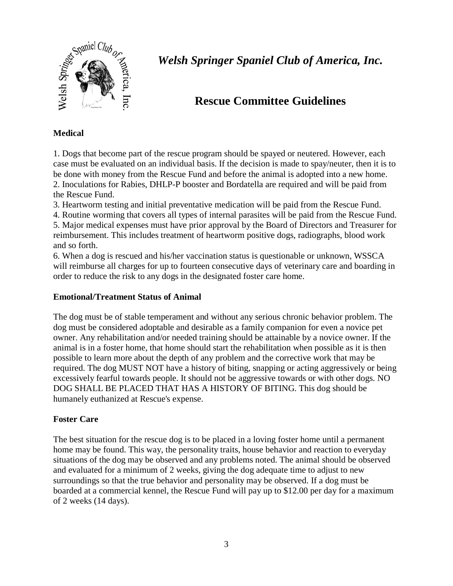

## **Rescue Committee Guidelines**

### **Medical**

1. Dogs that become part of the rescue program should be spayed or neutered. However, each case must be evaluated on an individual basis. If the decision is made to spay/neuter, then it is to be done with money from the Rescue Fund and before the animal is adopted into a new home. 2. Inoculations for Rabies, DHLP-P booster and Bordatella are required and will be paid from the Rescue Fund.

3. Heartworm testing and initial preventative medication will be paid from the Rescue Fund.

4. Routine worming that covers all types of internal parasites will be paid from the Rescue Fund. 5. Major medical expenses must have prior approval by the Board of Directors and Treasurer for reimbursement. This includes treatment of heartworm positive dogs, radiographs, blood work and so forth.

6. When a dog is rescued and his/her vaccination status is questionable or unknown, WSSCA will reimburse all charges for up to fourteen consecutive days of veterinary care and boarding in order to reduce the risk to any dogs in the designated foster care home.

#### **Emotional/Treatment Status of Animal**

The dog must be of stable temperament and without any serious chronic behavior problem. The dog must be considered adoptable and desirable as a family companion for even a novice pet owner. Any rehabilitation and/or needed training should be attainable by a novice owner. If the animal is in a foster home, that home should start the rehabilitation when possible as it is then possible to learn more about the depth of any problem and the corrective work that may be required. The dog MUST NOT have a history of biting, snapping or acting aggressively or being excessively fearful towards people. It should not be aggressive towards or with other dogs. NO DOG SHALL BE PLACED THAT HAS A HISTORY OF BITING. This dog should be humanely euthanized at Rescue's expense.

#### **Foster Care**

The best situation for the rescue dog is to be placed in a loving foster home until a permanent home may be found. This way, the personality traits, house behavior and reaction to everyday situations of the dog may be observed and any problems noted. The animal should be observed and evaluated for a minimum of 2 weeks, giving the dog adequate time to adjust to new surroundings so that the true behavior and personality may be observed. If a dog must be boarded at a commercial kennel, the Rescue Fund will pay up to \$12.00 per day for a maximum of 2 weeks (14 days).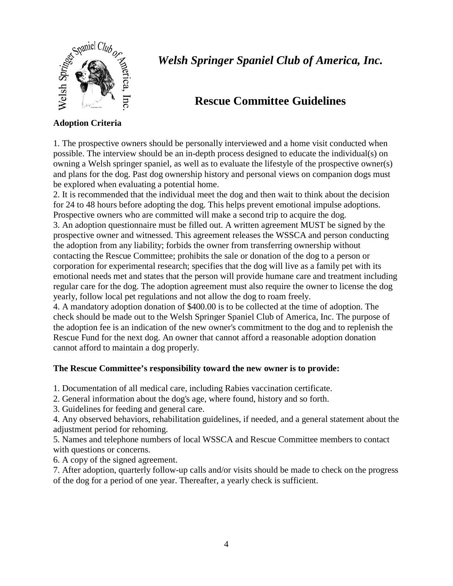

## **Rescue Committee Guidelines**

### **Adoption Criteria**

1. The prospective owners should be personally interviewed and a home visit conducted when possible. The interview should be an in-depth process designed to educate the individual(s) on owning a Welsh springer spaniel, as well as to evaluate the lifestyle of the prospective owner(s) and plans for the dog. Past dog ownership history and personal views on companion dogs must be explored when evaluating a potential home.

2. It is recommended that the individual meet the dog and then wait to think about the decision for 24 to 48 hours before adopting the dog. This helps prevent emotional impulse adoptions. Prospective owners who are committed will make a second trip to acquire the dog.

3. An adoption questionnaire must be filled out. A written agreement MUST be signed by the prospective owner and witnessed. This agreement releases the WSSCA and person conducting the adoption from any liability; forbids the owner from transferring ownership without contacting the Rescue Committee; prohibits the sale or donation of the dog to a person or corporation for experimental research; specifies that the dog will live as a family pet with its emotional needs met and states that the person will provide humane care and treatment including regular care for the dog. The adoption agreement must also require the owner to license the dog yearly, follow local pet regulations and not allow the dog to roam freely.

4. A mandatory adoption donation of \$400.00 is to be collected at the time of adoption. The check should be made out to the Welsh Springer Spaniel Club of America, Inc. The purpose of the adoption fee is an indication of the new owner's commitment to the dog and to replenish the Rescue Fund for the next dog. An owner that cannot afford a reasonable adoption donation cannot afford to maintain a dog properly.

#### **The Rescue Committee's responsibility toward the new owner is to provide:**

1. Documentation of all medical care, including Rabies vaccination certificate.

2. General information about the dog's age, where found, history and so forth.

3. Guidelines for feeding and general care.

4. Any observed behaviors, rehabilitation guidelines, if needed, and a general statement about the adjustment period for rehoming.

5. Names and telephone numbers of local WSSCA and Rescue Committee members to contact with questions or concerns.

6. A copy of the signed agreement.

7. After adoption, quarterly follow-up calls and/or visits should be made to check on the progress of the dog for a period of one year. Thereafter, a yearly check is sufficient.